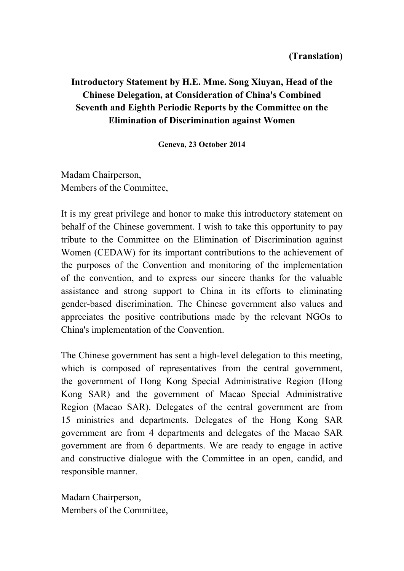# **Introductory Statement by H.E. Mme. Song Xiuyan, Head of the Chinese Delegation, at Consideration of China's Combined Seventh and Eighth Periodic Reports by the Committee on the Elimination of Discrimination against Women**

**Geneva, 23 October 2014**

Madam Chairperson, Members of the Committee,

It is my great privilege and honor to make this introductory statement on behalf of the Chinese government. I wish to take this opportunity to pay tribute to the Committee on the Elimination of Discrimination against Women (CEDAW) for its important contributions to the achievement of the purposes of the Convention and monitoring of the implementation of the convention, and to express our sincere thanks for the valuable assistance and strong support to China in its efforts to eliminating gender-based discrimination. The Chinese government also values and appreciates the positive contributions made by the relevant NGOs to China's implementation of the Convention.

The Chinese government has sent a high-level delegation to this meeting, which is composed of representatives from the central government, the government of Hong Kong Special Administrative Region (Hong Kong SAR) and the government of Macao Special Administrative Region (Macao SAR). Delegates of the central government are from 15 ministries and departments. Delegates of the Hong Kong SAR government are from 4 departments and delegates of the Macao SAR government are from 6 departments. We are ready to engage in active and constructive dialogue with the Committee in an open, candid, and responsible manner.

Madam Chairperson, Members of the Committee,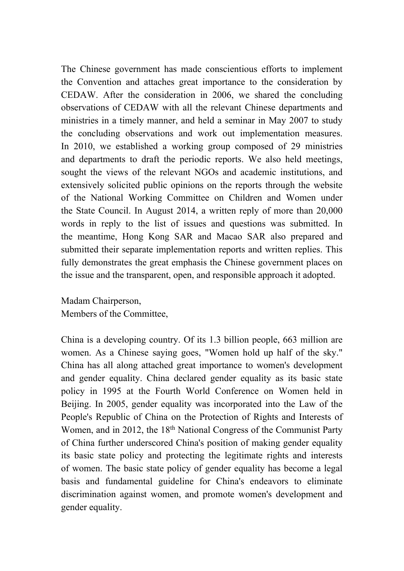The Chinese government has made conscientious efforts to implement the Convention and attaches great importance to the consideration by CEDAW. After the consideration in 2006, we shared the concluding observations of CEDAW with all the relevant Chinese departments and ministries in a timely manner, and held a seminar in May 2007 to study the concluding observations and work out implementation measures. In 2010, we established a working group composed of 29 ministries and departments to draft the periodic reports. We also held meetings, sought the views of the relevant NGOs and academic institutions, and extensively solicited public opinions on the reports through the website of the National Working Committee on Children and Women under the State Council. In August 2014, a written reply of more than 20,000 words in reply to the list of issues and questions was submitted. In the meantime, Hong Kong SAR and Macao SAR also prepared and submitted their separate implementation reports and written replies. This fully demonstrates the great emphasis the Chinese government places on the issue and the transparent, open, and responsible approach it adopted.

Madam Chairperson, Members of the Committee,

China is a developing country. Of its 1.3 billion people, 663 million are women. As a Chinese saying goes, "Women hold up half of the sky." China has all along attached great importance to women's development and gender equality. China declared gender equality as its basic state policy in 1995 at the Fourth World Conference on Women held in Beijing. In 2005, gender equality was incorporated into the Law of the People's Republic of China on the Protection of Rights and Interests of Women, and in 2012, the 18<sup>th</sup> National Congress of the Communist Party of China further underscored China's position of making gender equality its basic state policy and protecting the legitimate rights and interests of women. The basic state policy of gender equality has become a legal basis and fundamental guideline for China's endeavors to eliminate discrimination against women, and promote women's development and gender equality.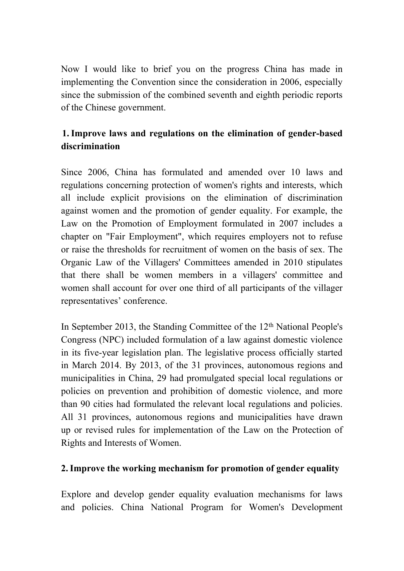Now I would like to brief you on the progress China has made in implementing the Convention since the consideration in 2006, especially since the submission of the combined seventh and eighth periodic reports of the Chinese government.

## **1.Improve laws and regulations on the elimination of gender-based discrimination**

Since 2006, China has formulated and amended over 10 laws and regulations concerning protection of women's rights and interests, which all include explicit provisions on the elimination of discrimination against women and the promotion of gender equality. For example, the Law on the Promotion of Employment formulated in 2007 includes a chapter on "Fair Employment", which requires employers not to refuse or raise the thresholds for recruitment of women on the basis of sex. The Organic Law of the Villagers' Committees amended in 2010 stipulates that there shall be women members in a villagers' committee and women shall account for over one third of all participants of the villager representatives' conference.

In September 2013, the Standing Committee of the 12<sup>th</sup> National People's Congress (NPC) included formulation of a law against domestic violence in its five-year legislation plan. The legislative process officially started in March 2014. By 2013, of the 31 provinces, autonomous regions and municipalities in China, 29 had promulgated special local regulations or policies on prevention and prohibition of domestic violence, and more than 90 cities had formulated the relevant local regulations and policies. All 31 provinces, autonomous regions and municipalities have drawn up or revised rules for implementation of the Law on the Protection of Rights and Interests of Women.

### **2.Improve the working mechanism for promotion of gender equality**

Explore and develop gender equality evaluation mechanisms for laws and policies. China National Program for Women's Development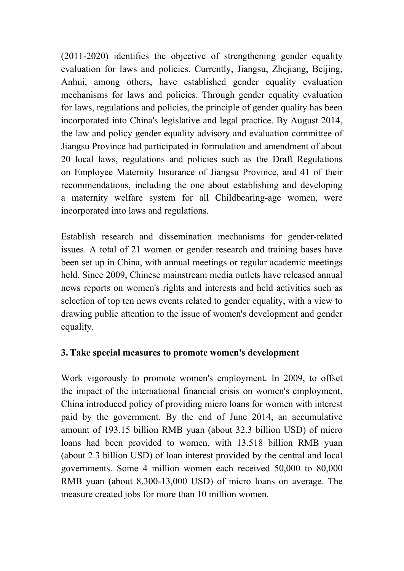(2011-2020) identifies the objective of strengthening gender equality evaluation for laws and policies. Currently, Jiangsu, Zhejiang, Beijing, Anhui, among others, have established gender equality evaluation mechanisms for laws and policies. Through gender equality evaluation for laws, regulations and policies, the principle of gender quality has been incorporated into China's legislative and legal practice. By August 2014, the law and policy gender equality advisory and evaluation committee of Jiangsu Province had participated in formulation and amendment of about 20 local laws, regulations and policies such as the Draft Regulations on Employee Maternity Insurance of Jiangsu Province, and 41 of their recommendations, including the one about establishing and developing a maternity welfare system for all Childbearing-age women, were incorporated into laws and regulations.

Establish research and dissemination mechanisms for gender-related issues. A total of 21 women or gender research and training bases have been set up in China, with annual meetings or regular academic meetings held. Since 2009, Chinese mainstream media outlets have released annual news reports on women's rights and interests and held activities such as selection of top ten news events related to gender equality, with a view to drawing public attention to the issue of women's development and gender equality.

### **3. Take special measures to promote women's development**

Work vigorously to promote women's employment. In 2009, to offset the impact of the international financial crisis on women's employment, China introduced policy of providing micro loans for women with interest paid by the government. By the end of June 2014, an accumulative amount of 193.15 billion RMB yuan (about 32.3 billion USD) of micro loans had been provided to women, with 13.518 billion RMB yuan (about 2.3 billion USD) of loan interest provided by the central and local governments. Some 4 million women each received 50,000 to 80,000 RMB yuan (about 8,300-13,000 USD) of micro loans on average. The measure created jobs for more than 10 million women.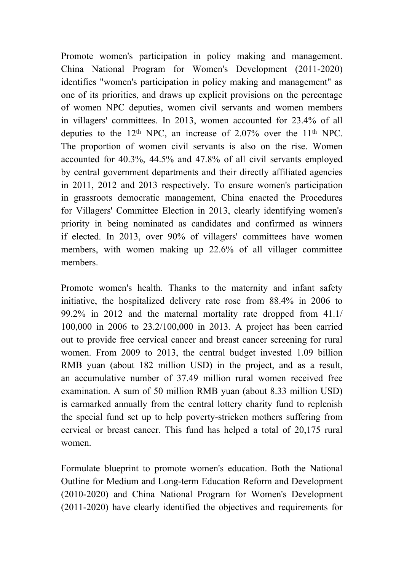Promote women's participation in policy making and management. China National Program for Women's Development (2011-2020) identifies "women's participation in policy making and management" as one of its priorities, and draws up explicit provisions on the percentage of women NPC deputies, women civil servants and women members in villagers' committees. In 2013, women accounted for 23.4% of all deputies to the  $12<sup>th</sup>$  NPC, an increase of 2.07% over the  $11<sup>th</sup>$  NPC. The proportion of women civil servants is also on the rise. Women accounted for 40.3%, 44.5% and 47.8% of all civil servants employed by central government departments and their directly affiliated agencies in 2011, 2012 and 2013 respectively. To ensure women's participation in grassroots democratic management, China enacted the Procedures for Villagers' Committee Election in 2013, clearly identifying women's priority in being nominated as candidates and confirmed as winners if elected. In 2013, over 90% of villagers' committees have women members, with women making up 22.6% of all villager committee members.

Promote women's health. Thanks to the maternity and infant safety initiative, the hospitalized delivery rate rose from 88.4% in 2006 to 99.2% in 2012 and the maternal mortality rate dropped from 41.1/ 100,000 in 2006 to 23.2/100,000 in 2013. A project has been carried out to provide free cervical cancer and breast cancer screening for rural women. From 2009 to 2013, the central budget invested 1.09 billion RMB yuan (about 182 million USD) in the project, and as a result, an accumulative number of 37.49 million rural women received free examination. A sum of 50 million RMB yuan (about 8.33 million USD) is earmarked annually from the central lottery charity fund to replenish the special fund set up to help poverty-stricken mothers suffering from cervical or breast cancer. This fund has helped a total of 20,175 rural women.

Formulate blueprint to promote women's education. Both the National Outline for Medium and Long-term Education Reform and Development (2010-2020) and China National Program for Women's Development (2011-2020) have clearly identified the objectives and requirements for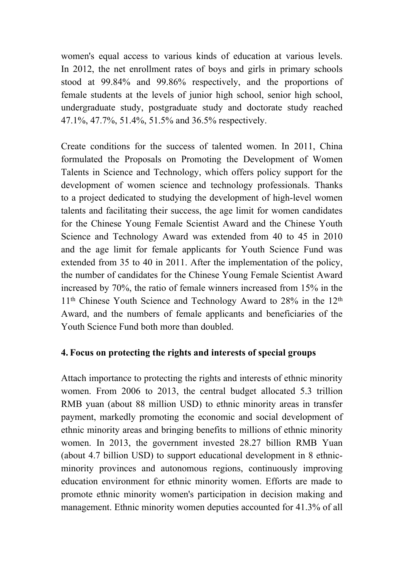women's equal access to various kinds of education at various levels. In 2012, the net enrollment rates of boys and girls in primary schools stood at 99.84% and 99.86% respectively, and the proportions of female students at the levels of junior high school, senior high school, undergraduate study, postgraduate study and doctorate study reached 47.1%, 47.7%, 51.4%, 51.5% and 36.5% respectively.

Create conditions for the success of talented women. In 2011, China formulated the Proposals on Promoting the Development of Women Talents in Science and Technology, which offers policy support for the development of women science and technology professionals. Thanks to a project dedicated to studying the development of high-level women talents and facilitating their success, the age limit for women candidates for the Chinese Young Female Scientist Award and the Chinese Youth Science and Technology Award was extended from 40 to 45 in 2010 and the age limit for female applicants for Youth Science Fund was extended from 35 to 40 in 2011. After the implementation of the policy, the number of candidates for the Chinese Young Female Scientist Award increased by 70%, the ratio of female winners increased from 15% in the 11<sup>th</sup> Chinese Youth Science and Technology Award to 28% in the 12<sup>th</sup> Award, and the numbers of female applicants and beneficiaries of the Youth Science Fund both more than doubled.

#### **4. Focus on protecting the rights and interests of special groups**

Attach importance to protecting the rights and interests of ethnic minority women. From 2006 to 2013, the central budget allocated 5.3 trillion RMB yuan (about 88 million USD) to ethnic minority areas in transfer payment, markedly promoting the economic and social development of ethnic minority areas and bringing benefits to millions of ethnic minority women. In 2013, the government invested 28.27 billion RMB Yuan (about 4.7 billion USD) to support educational development in 8 ethnicminority provinces and autonomous regions, continuously improving education environment for ethnic minority women. Efforts are made to promote ethnic minority women's participation in decision making and management. Ethnic minority women deputies accounted for 41.3% of all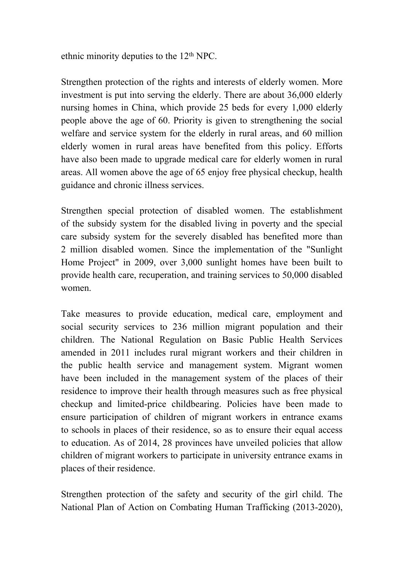ethnic minority deputies to the 12<sup>th</sup> NPC.

Strengthen protection of the rights and interests of elderly women. More investment is put into serving the elderly. There are about 36,000 elderly nursing homes in China, which provide 25 beds for every 1,000 elderly people above the age of 60. Priority is given to strengthening the social welfare and service system for the elderly in rural areas, and 60 million elderly women in rural areas have benefited from this policy. Efforts have also been made to upgrade medical care for elderly women in rural areas. All women above the age of 65 enjoy free physical checkup, health guidance and chronic illness services.

Strengthen special protection of disabled women. The establishment of the subsidy system for the disabled living in poverty and the special care subsidy system for the severely disabled has benefited more than 2 million disabled women. Since the implementation of the "Sunlight Home Project" in 2009, over 3,000 sunlight homes have been built to provide health care, recuperation, and training services to 50,000 disabled women.

Take measures to provide education, medical care, employment and social security services to 236 million migrant population and their children. The National Regulation on Basic Public Health Services amended in 2011 includes rural migrant workers and their children in the public health service and management system. Migrant women have been included in the management system of the places of their residence to improve their health through measures such as free physical checkup and limited-price childbearing. Policies have been made to ensure participation of children of migrant workers in entrance exams to schools in places of their residence, so as to ensure their equal access to education. As of 2014, 28 provinces have unveiled policies that allow children of migrant workers to participate in university entrance exams in places of their residence.

Strengthen protection of the safety and security of the girl child. The National Plan of Action on Combating Human Trafficking (2013-2020),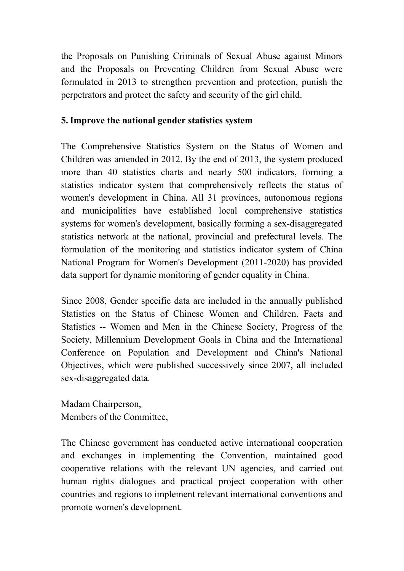the Proposals on Punishing Criminals of Sexual Abuse against Minors and the Proposals on Preventing Children from Sexual Abuse were formulated in 2013 to strengthen prevention and protection, punish the perpetrators and protect the safety and security of the girl child.

### **5.Improve the national gender statistics system**

The Comprehensive Statistics System on the Status of Women and Children was amended in 2012. By the end of 2013, the system produced more than 40 statistics charts and nearly 500 indicators, forming a statistics indicator system that comprehensively reflects the status of women's development in China. All 31 provinces, autonomous regions and municipalities have established local comprehensive statistics systems for women's development, basically forming a sex-disaggregated statistics network at the national, provincial and prefectural levels. The formulation of the monitoring and statistics indicator system of China National Program for Women's Development (2011-2020) has provided data support for dynamic monitoring of gender equality in China.

Since 2008, Gender specific data are included in the annually published Statistics on the Status of Chinese Women and Children. Facts and Statistics -- Women and Men in the Chinese Society, Progress of the Society, Millennium Development Goals in China and the International Conference on Population and Development and China's National Objectives, which were published successively since 2007, all included sex-disaggregated data.

Madam Chairperson, Members of the Committee,

The Chinese government has conducted active international cooperation and exchanges in implementing the Convention, maintained good cooperative relations with the relevant UN agencies, and carried out human rights dialogues and practical project cooperation with other countries and regions to implement relevant international conventions and promote women's development.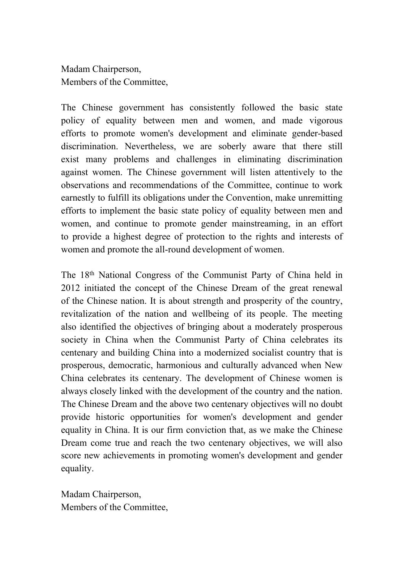Madam Chairperson, Members of the Committee,

The Chinese government has consistently followed the basic state policy of equality between men and women, and made vigorous efforts to promote women's development and eliminate gender-based discrimination. Nevertheless, we are soberly aware that there still exist many problems and challenges in eliminating discrimination against women. The Chinese government will listen attentively to the observations and recommendations of the Committee, continue to work earnestly to fulfill its obligations under the Convention, make unremitting efforts to implement the basic state policy of equality between men and women, and continue to promote gender mainstreaming, in an effort to provide a highest degree of protection to the rights and interests of women and promote the all-round development of women.

The 18th National Congress of the Communist Party of China held in 2012 initiated the concept of the Chinese Dream of the great renewal of the Chinese nation. It is about strength and prosperity of the country, revitalization of the nation and wellbeing of its people. The meeting also identified the objectives of bringing about a moderately prosperous society in China when the Communist Party of China celebrates its centenary and building China into a modernized socialist country that is prosperous, democratic, harmonious and culturally advanced when New China celebrates its centenary. The development of Chinese women is always closely linked with the development of the country and the nation. The Chinese Dream and the above two centenary objectives will no doubt provide historic opportunities for women's development and gender equality in China. It is our firm conviction that, as we make the Chinese Dream come true and reach the two centenary objectives, we will also score new achievements in promoting women's development and gender equality.

Madam Chairperson, Members of the Committee,